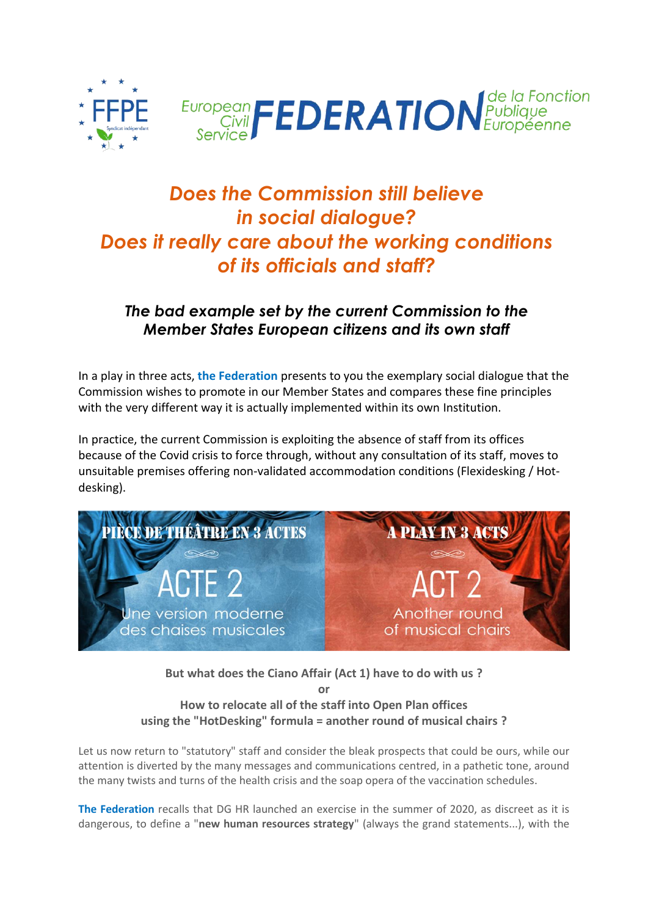



# *Does the Commission still believe in social dialogue? Does it really care about the working conditions of its officials and staff?*

## *The bad example set by the current Commission to the Member States European citizens and its own staff*

In a play in three acts, **the Federation** presents to you the exemplary social dialogue that the Commission wishes to promote in our Member States and compares these fine principles with the very different way it is actually implemented within its own Institution.

In practice, the current Commission is exploiting the absence of staff from its offices because of the Covid crisis to force through, without any consultation of its staff, moves to unsuitable premises offering non-validated accommodation conditions (Flexidesking / Hotdesking).



**But what does the Ciano Affair (Act 1) have to do with us ?**

**or**

### **How to relocate all of the staff into Open Plan offices using the "HotDesking" formula = another round of musical chairs ?**

Let us now return to "statutory" staff and consider the bleak prospects that could be ours, while our attention is diverted by the many messages and communications centred, in a pathetic tone, around the many twists and turns of the health crisis and the soap opera of the vaccination schedules.

**The Federation** recalls that DG HR launched an exercise in the summer of 2020, as discreet as it is dangerous, to define a "**new human resources strategy**" (always the grand statements...), with the